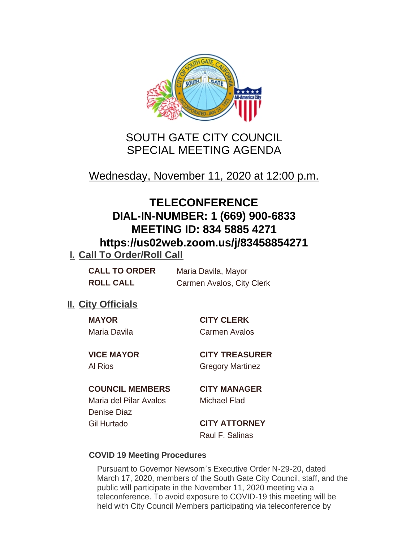

# SOUTH GATE CITY COUNCIL SPECIAL MEETING AGENDA

Wednesday, November 11, 2020 at 12:00 p.m.

# **TELECONFERENCE DIAL-IN-NUMBER: 1 (669) 900-6833 MEETING ID: 834 5885 4271 https://us02web.zoom.us/j/83458854271**

## **I. Call To Order/Roll Call**

**CALL TO ORDER** Maria Davila, Mayor **ROLL CALL** Carmen Avalos, City Clerk

## **II.** City Officials

**MAYOR CITY CLERK**

Maria Davila Carmen Avalos

Al Rios **Gregory Martinez** 

**VICE MAYOR CITY TREASURER**

## **COUNCIL MEMBERS CITY MANAGER**

Maria del Pilar Avalos Michael Flad Denise Diaz Gil Hurtado **CITY ATTORNEY**

Raul F. Salinas

## **COVID 19 Meeting Procedures**

Pursuant to Governor Newsom's Executive Order N-29-20, dated March 17, 2020, members of the South Gate City Council, staff, and the public will participate in the November 11, 2020 meeting via a teleconference. To avoid exposure to COVID-19 this meeting will be held with City Council Members participating via teleconference by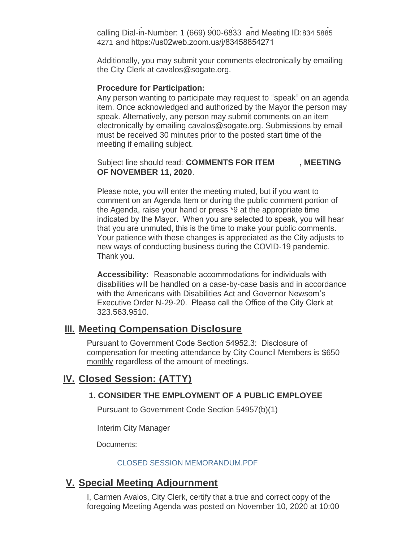held with City Council Members participating via teleconference by calling Dial-in-Number: 1 (669) 900-6833 and Meeting ID:834 5885 4271 and https://us02web.zoom.us/j/83458854271

Additionally, you may submit your comments electronically by emailing the City Clerk at cavalos@sogate.org.

#### **Procedure for Participation:**

Any person wanting to participate may request to "speak" on an agenda item. Once acknowledged and authorized by the Mayor the person may speak. Alternatively, any person may submit comments on an item electronically by emailing cavalos@sogate.org. Submissions by email must be received 30 minutes prior to the posted start time of the meeting if emailing subject.

Subject line should read: **COMMENTS FOR ITEM \_\_\_\_\_, MEETING OF NOVEMBER 11, 2020**.

Please note, you will enter the meeting muted, but if you want to comment on an Agenda Item or during the public comment portion of the Agenda, raise your hand or press \*9 at the appropriate time indicated by the Mayor. When you are selected to speak, you will hear that you are unmuted, this is the time to make your public comments. Your patience with these changes is appreciated as the City adjusts to new ways of conducting business during the COVID-19 pandemic. Thank you.

**Accessibility:** Reasonable accommodations for individuals with disabilities will be handled on a case-by-case basis and in accordance with the Americans with Disabilities Act and Governor Newsom's Executive Order N-29-20. Please call the Office of the City Clerk at 323.563.9510.

### **Meeting Compensation Disclosure III.**

Pursuant to Government Code Section 54952.3: Disclosure of compensation for meeting attendance by City Council Members is \$650 monthly regardless of the amount of meetings.

## **Closed Session: (ATTY) IV.**

#### **1. CONSIDER THE EMPLOYMENT OF A PUBLIC EMPLOYEE**

Pursuant to Government Code Section 54957(b)(1)

Interim City Manager

Documents:

#### CLOSED SESSION MEMORANDUM.PDF

## **Special Meeting Adjournment V.**

I, Carmen Avalos, City Clerk, certify that a true and correct copy of the foregoing Meeting Agenda was posted on November 10, 2020 at 10:00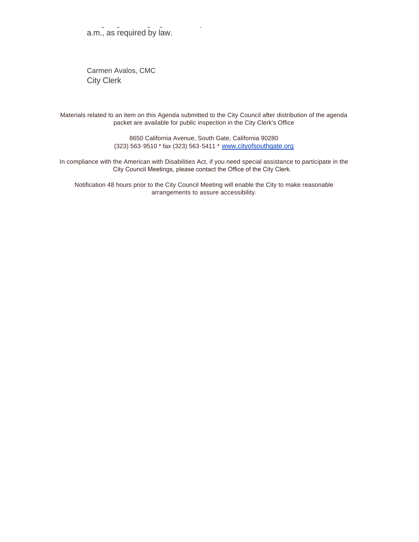foregoing Meeting Agenda was posted on November 10, 2020 at 10:00 a.m., as required by law.

Carmen Avalos, CMC City Clerk

Materials related to an item on this Agenda submitted to the City Council after distribution of the agenda packet are available for public inspection in the City Clerk's Office

> 8650 California Avenue, South Gate, California 90280 (323) 563-9510 \* fax (323) 563-5411 \* [www.cityofsouthgate.org](http://www.cityofsouthgate.org/)

In compliance with the American with Disabilities Act, if you need special assistance to participate in the City Council Meetings, please contact the Office of the City Clerk.

Notification 48 hours prior to the City Council Meeting will enable the City to make reasonable arrangements to assure accessibility.